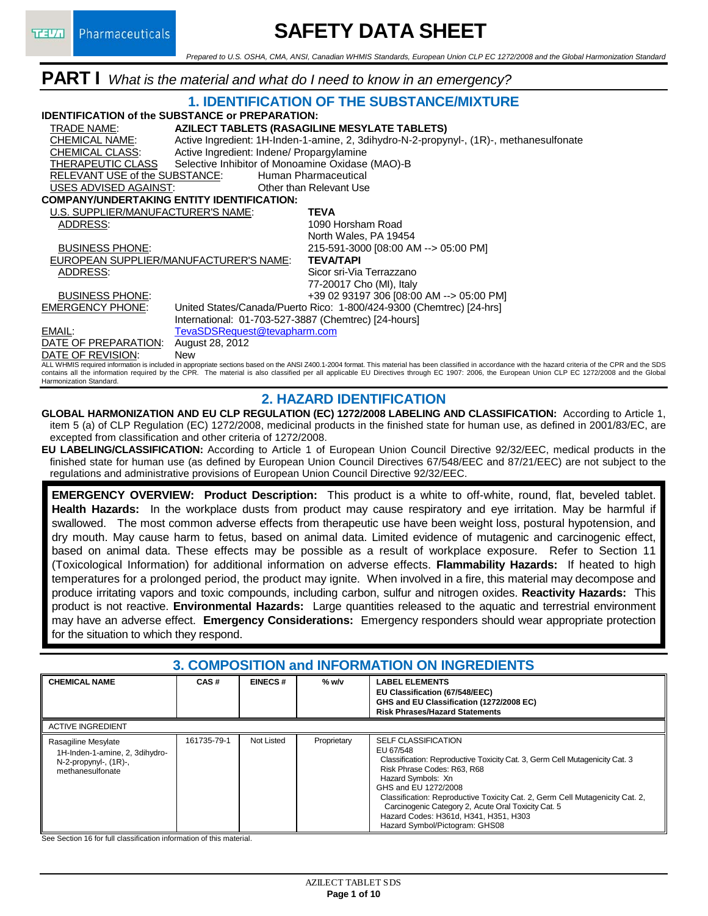# **SAFETY DATA SHEET**

*Prepared to U.S. OSHA, CMA, ANSI, Canadian WHMIS Standards, European Union CLP EC 1272/2008 and the Global Harmonization Standard*

## **PART I** *What is the material and what do I need to know in an emergency?*



#### **2. HAZARD IDENTIFICATION**

**GLOBAL HARMONIZATION AND EU CLP REGULATION (EC) 1272/2008 LABELING AND CLASSIFICATION:** According to Article 1, item 5 (a) of CLP Regulation (EC) 1272/2008, medicinal products in the finished state for human use, as defined in 2001/83/EC, are excepted from classification and other criteria of 1272/2008.

**EU LABELING/CLASSIFICATION:** According to Article 1 of European Union Council Directive 92/32/EEC, medical products in the finished state for human use (as defined by European Union Council Directives 67/548/EEC and 87/21/EEC) are not subject to the regulations and administrative provisions of European Union Council Directive 92/32/EEC.

**EMERGENCY OVERVIEW: Product Description:** This product is a white to off-white, round, flat, beveled tablet. **Health Hazards:** In the workplace dusts from product may cause respiratory and eye irritation. May be harmful if swallowed. The most common adverse effects from therapeutic use have been weight loss, postural hypotension, and dry mouth. May cause harm to fetus, based on animal data. Limited evidence of mutagenic and carcinogenic effect, based on animal data. These effects may be possible as a result of workplace exposure. Refer to Section 11 (Toxicological Information) for additional information on adverse effects. **Flammability Hazards:** If heated to high temperatures for a prolonged period, the product may ignite. When involved in a fire, this material may decompose and produce irritating vapors and toxic compounds, including carbon, sulfur and nitrogen oxides. **Reactivity Hazards:** This product is not reactive. **Environmental Hazards:** Large quantities released to the aquatic and terrestrial environment may have an adverse effect. **Emergency Considerations:** Emergency responders should wear appropriate protection for the situation to which they respond.

### **3. COMPOSITION and INFORMATION ON INGREDIENTS**

| <b>CHEMICAL NAME</b>                                                                                     | CAS#        | <b>EINECS#</b> | $%$ w/v     | <b>LABEL ELEMENTS</b><br>EU Classification (67/548/EEC)<br>GHS and EU Classification (1272/2008 EC)                                                                                                                                                                                                                                                                                                                   |  |  |  |  |
|----------------------------------------------------------------------------------------------------------|-------------|----------------|-------------|-----------------------------------------------------------------------------------------------------------------------------------------------------------------------------------------------------------------------------------------------------------------------------------------------------------------------------------------------------------------------------------------------------------------------|--|--|--|--|
|                                                                                                          |             |                |             | <b>Risk Phrases/Hazard Statements</b>                                                                                                                                                                                                                                                                                                                                                                                 |  |  |  |  |
| <b>ACTIVE INGREDIENT</b>                                                                                 |             |                |             |                                                                                                                                                                                                                                                                                                                                                                                                                       |  |  |  |  |
| Rasagiline Mesylate<br>1H-Inden-1-amine, 2, 3dihydro-<br>$N-2$ -propynyl-, $(1R)$ -,<br>methanesulfonate | 161735-79-1 | Not Listed     | Proprietary | <b>SELF CLASSIFICATION</b><br>EU 67/548<br>Classification: Reproductive Toxicity Cat. 3, Germ Cell Mutagenicity Cat. 3<br>Risk Phrase Codes: R63, R68<br>Hazard Symbols: Xn<br>GHS and EU 1272/2008<br>Classification: Reproductive Toxicity Cat. 2, Germ Cell Mutagenicity Cat. 2,<br>Carcinogenic Category 2, Acute Oral Toxicity Cat. 5<br>Hazard Codes: H361d, H341, H351, H303<br>Hazard Symbol/Pictogram: GHS08 |  |  |  |  |

See Section 16 for full classification information of this material.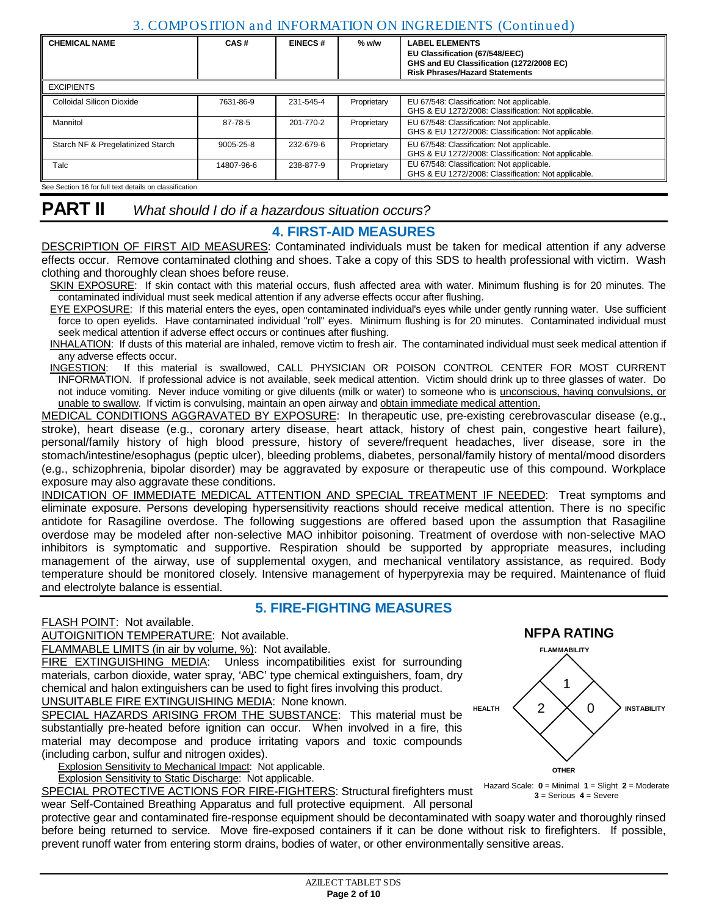### 3. COMPOSITION and INFORMATION ON INGREDIENTS (Continued)

| <b>CHEMICAL NAME</b>                                   | CAS#            | <b>EINECS#</b> | $%$ w/w     | <b>LABEL ELEMENTS</b><br>EU Classification (67/548/EEC)<br>GHS and EU Classification (1272/2008 EC)<br><b>Risk Phrases/Hazard Statements</b> |
|--------------------------------------------------------|-----------------|----------------|-------------|----------------------------------------------------------------------------------------------------------------------------------------------|
| <b>EXCIPIENTS</b>                                      |                 |                |             |                                                                                                                                              |
| Colloidal Silicon Dioxide                              | 7631-86-9       | 231-545-4      | Proprietary | EU 67/548: Classification: Not applicable.<br>GHS & EU 1272/2008: Classification: Not applicable.                                            |
| Mannitol                                               | 87-78-5         | 201-770-2      | Proprietary | EU 67/548: Classification: Not applicable.<br>GHS & EU 1272/2008: Classification: Not applicable.                                            |
| Starch NF & Pregelatinized Starch                      | $9005 - 25 - 8$ | 232-679-6      | Proprietary | EU 67/548: Classification: Not applicable.<br>GHS & EU 1272/2008: Classification: Not applicable.                                            |
| Talc                                                   | 14807-96-6      | 238-877-9      | Proprietary | EU 67/548: Classification: Not applicable.<br>GHS & EU 1272/2008: Classification: Not applicable.                                            |
| See Section 16 for full text details on classification |                 |                |             |                                                                                                                                              |

### **4. FIRST-AID MEASURES**

DESCRIPTION OF FIRST AID MEASURES: Contaminated individuals must be taken for medical attention if any adverse effects occur. Remove contaminated clothing and shoes. Take a copy of this SDS to health professional with victim. Wash clothing and thoroughly clean shoes before reuse.

SKIN EXPOSURE: If skin contact with this material occurs, flush affected area with water. Minimum flushing is for 20 minutes. The contaminated individual must seek medical attention if any adverse effects occur after flushing.

EYE EXPOSURE: If this material enters the eyes, open contaminated individual's eyes while under gently running water. Use sufficient force to open eyelids. Have contaminated individual "roll" eyes. Minimum flushing is for 20 minutes. Contaminated individual must seek medical attention if adverse effect occurs or continues after flushing.

INHALATION: If dusts of this material are inhaled, remove victim to fresh air. The contaminated individual must seek medical attention if any adverse effects occur.<br>INGESTION: If this mate

If this material is swallowed, CALL PHYSICIAN OR POISON CONTROL CENTER FOR MOST CURRENT INFORMATION. If professional advice is not available, seek medical attention. Victim should drink up to three glasses of water. Do not induce vomiting. Never induce vomiting or give diluents (milk or water) to someone who is unconscious, having convulsions, or unable to swallow. If victim is convulsing, maintain an open airway and obtain immediate medical attention.

MEDICAL CONDITIONS AGGRAVATED BY EXPOSURE: In therapeutic use, pre-existing cerebrovascular disease (e.g., stroke), heart disease (e.g., coronary artery disease, heart attack, history of chest pain, congestive heart failure), personal/family history of high blood pressure, history of severe/frequent headaches, liver disease, sore in the stomach/intestine/esophagus (peptic ulcer), bleeding problems, diabetes, personal/family history of mental/mood disorders (e.g., schizophrenia, bipolar disorder) may be aggravated by exposure or therapeutic use of this compound. Workplace exposure may also aggravate these conditions.

INDICATION OF IMMEDIATE MEDICAL ATTENTION AND SPECIAL TREATMENT IF NEEDED: Treat symptoms and eliminate exposure. Persons developing hypersensitivity reactions should receive medical attention. There is no specific antidote for Rasagiline overdose. The following suggestions are offered based upon the assumption that Rasagiline overdose may be modeled after non-selective MAO inhibitor poisoning. Treatment of overdose with non-selective MAO inhibitors is [symptomatic](http://www.rxlist.com/script/main/art.asp?articlekey=20424) and supportive. [Respiration](http://www.rxlist.com/script/main/art.asp?articlekey=5328) should be supported by appropriate measures, including management of the airway, use of supplemental oxygen, and mechanical ventilatory assistance, as required. Body temperature should be monitored closely. Intensive management of hyperpyrexia may be required. Maintenance of fluid and electrolyte balance is essential.

### **5. FIRE-FIGHTING MEASURES**

FLASH POINT: Not available.

AUTOIGNITION TEMPERATURE: Not available.

FLAMMABLE LIMITS (in air by volume, %): Not available.

FIRE EXTINGUISHING MEDIA: Unless incompatibilities exist for surrounding materials, carbon dioxide, water spray, 'ABC' type chemical extinguishers, foam, dry chemical and halon extinguishers can be used to fight fires involving this product. UNSUITABLE FIRE EXTINGUISHING MEDIA: None known.

SPECIAL HAZARDS ARISING FROM THE SUBSTANCE: This material must be substantially pre-heated before ignition can occur. When involved in a fire, this material may decompose and produce irritating vapors and toxic compounds (including carbon, sulfur and nitrogen oxides).

Explosion Sensitivity to Mechanical Impact: Not applicable.

Explosion Sensitivity to Static Discharge: Not applicable.

SPECIAL PROTECTIVE ACTIONS FOR FIRE-FIGHTERS: Structural firefighters must wear Self-Contained Breathing Apparatus and full protective equipment. All personal

**HEALTH**  $\langle$  2 **INSTABILITY OTHER** 0 1

**FLAMMABILITY**

**NFPA RATING**

Hazard Scale: **0** = Minimal **1** = Slight **2** = Moderate  $3$  = Serious  $4$  = Severe

protective gear and contaminated fire-response equipment should be decontaminated with soapy water and thoroughly rinsed before being returned to service. Move fire-exposed containers if it can be done without risk to firefighters. If possible, prevent runoff water from entering storm drains, bodies of water, or other environmentally sensitive areas.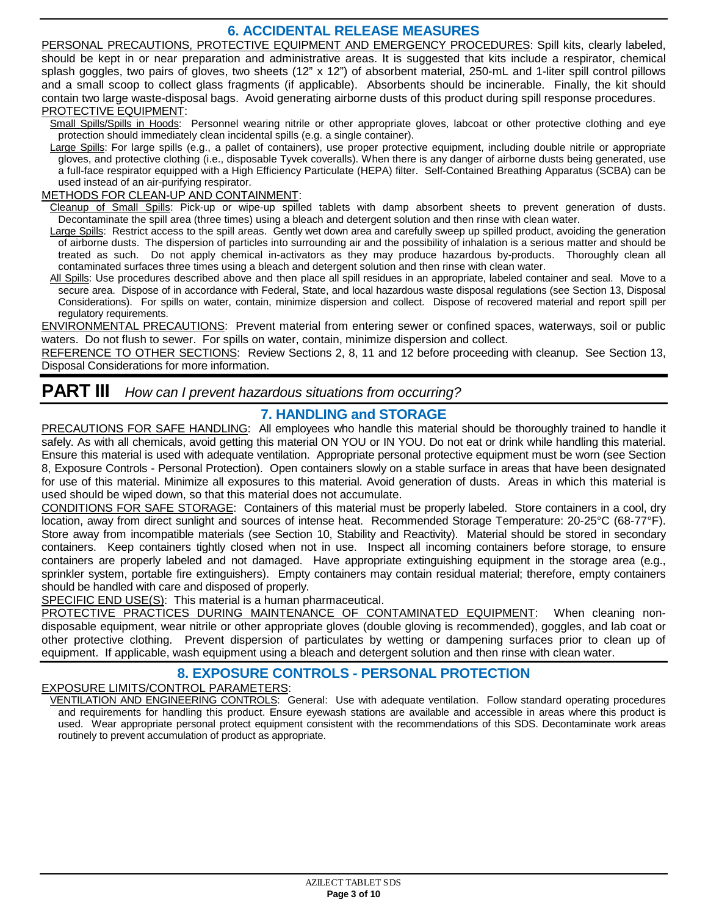## **6. ACCIDENTAL RELEASE MEASURES**

PERSONAL PRECAUTIONS, PROTECTIVE EQUIPMENT AND EMERGENCY PROCEDURES: Spill kits, clearly labeled, should be kept in or near preparation and administrative areas. It is suggested that kits include a respirator, chemical splash goggles, two pairs of gloves, two sheets (12" x 12") of absorbent material, 250-mL and 1-liter spill control pillows and a small scoop to collect glass fragments (if applicable). Absorbents should be incinerable. Finally, the kit should contain two large waste-disposal bags. Avoid generating airborne dusts of this product during spill response procedures. PROTECTIVE EQUIPMENT:

Small Spills/Spills in Hoods: Personnel wearing nitrile or other appropriate gloves, labcoat or other protective clothing and eye protection should immediately clean incidental spills (e.g. a single container).

Large Spills: For large spills (e.g., a pallet of containers), use proper protective equipment, including double nitrile or appropriate gloves, and protective clothing (i.e., disposable Tyvek coveralls). When there is any danger of airborne dusts being generated, use a full-face respirator equipped with a High Efficiency Particulate (HEPA) filter. Self-Contained Breathing Apparatus (SCBA) can be used instead of an air-purifying respirator.

#### METHODS FOR CLEAN-UP AND CONTAINMENT:

Cleanup of Small Spills: Pick-up or wipe-up spilled tablets with damp absorbent sheets to prevent generation of dusts. Decontaminate the spill area (three times) using a bleach and detergent solution and then rinse with clean water.

Large Spills: Restrict access to the spill areas. Gently wet down area and carefully sweep up spilled product, avoiding the generation of airborne dusts. The dispersion of particles into surrounding air and the possibility of inhalation is a serious matter and should be treated as such. Do not apply chemical in-activators as they may produce hazardous by-products. Thoroughly clean all contaminated surfaces three times using a bleach and detergent solution and then rinse with clean water.

All Spills: Use procedures described above and then place all spill residues in an appropriate, labeled container and seal. Move to a secure area. Dispose of in accordance with Federal, State, and local hazardous waste disposal regulations (see Section 13, Disposal Considerations). For spills on water, contain, minimize dispersion and collect. Dispose of recovered material and report spill per regulatory requirements.

ENVIRONMENTAL PRECAUTIONS: Prevent material from entering sewer or confined spaces, waterways, soil or public waters. Do not flush to sewer. For spills on water, contain, minimize dispersion and collect.

REFERENCE TO OTHER SECTIONS: Review Sections 2, 8, 11 and 12 before proceeding with cleanup. See Section 13, Disposal Considerations for more information.

### **PART III** *How can I prevent hazardous situations from occurring?*

### **7. HANDLING and STORAGE**

PRECAUTIONS FOR SAFE HANDLING: All employees who handle this material should be thoroughly trained to handle it safely. As with all chemicals, avoid getting this material ON YOU or IN YOU. Do not eat or drink while handling this material. Ensure this material is used with adequate ventilation. Appropriate personal protective equipment must be worn (see Section 8, Exposure Controls - Personal Protection). Open containers slowly on a stable surface in areas that have been designated for use of this material. Minimize all exposures to this material. Avoid generation of dusts. Areas in which this material is used should be wiped down, so that this material does not accumulate.

CONDITIONS FOR SAFE STORAGE: Containers of this material must be properly labeled. Store containers in a cool, dry location, away from direct sunlight and sources of intense heat. Recommended Storage Temperature: 20-25°C (68-77°F). Store away from incompatible materials (see Section 10, Stability and Reactivity). Material should be stored in secondary containers. Keep containers tightly closed when not in use. Inspect all incoming containers before storage, to ensure containers are properly labeled and not damaged. Have appropriate extinguishing equipment in the storage area (e.g., sprinkler system, portable fire extinguishers). Empty containers may contain residual material; therefore, empty containers should be handled with care and disposed of properly.

SPECIFIC END USE(S): This material is a human pharmaceutical.

PROTECTIVE PRACTICES DURING MAINTENANCE OF CONTAMINATED EQUIPMENT: When cleaning nondisposable equipment, wear nitrile or other appropriate gloves (double gloving is recommended), goggles, and lab coat or other protective clothing. Prevent dispersion of particulates by wetting or dampening surfaces prior to clean up of equipment. If applicable, wash equipment using a bleach and detergent solution and then rinse with clean water.

### **8. EXPOSURE CONTROLS - PERSONAL PROTECTION**

#### EXPOSURE LIMITS/CONTROL PARAMETERS:

VENTILATION AND ENGINEERING CONTROLS: General: Use with adequate ventilation. Follow standard operating procedures and requirements for handling this product. Ensure eyewash stations are available and accessible in areas where this product is used. Wear appropriate personal protect equipment consistent with the recommendations of this SDS. Decontaminate work areas routinely to prevent accumulation of product as appropriate.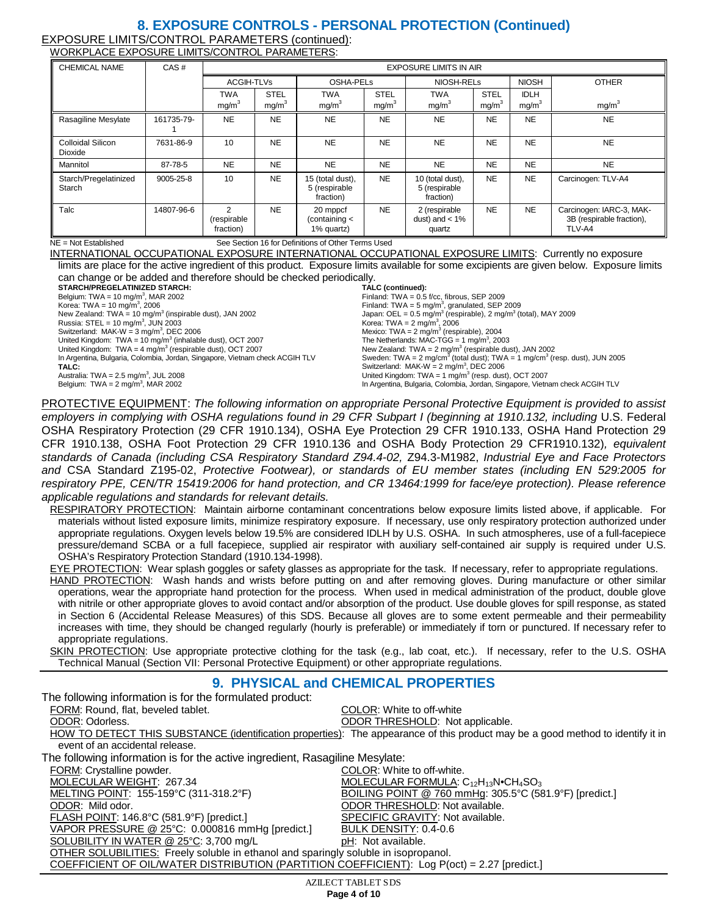#### **8. EXPOSURE CONTROLS - PERSONAL PROTECTION (Continued)** EXPOSURE LIMITS/CONTROL PARAMETERS (continued): WORKPLACE EXPOSURE LIMITS/CONTROL PARAMETERS:

| <b>CHEMICAL NAME</b>                | CAS#       | <b>EXPOSURE LIMITS IN AIR</b>               |                                  |                                                |                                  |                                                |                                  |                                  |                                                                 |
|-------------------------------------|------------|---------------------------------------------|----------------------------------|------------------------------------------------|----------------------------------|------------------------------------------------|----------------------------------|----------------------------------|-----------------------------------------------------------------|
|                                     |            | <b>ACGIH-TLVs</b>                           |                                  | OSHA-PELs                                      |                                  | NIOSH-RELs                                     |                                  | <b>NIOSH</b>                     | <b>OTHER</b>                                                    |
|                                     |            | <b>TWA</b><br>mg/m <sup>3</sup>             | <b>STEL</b><br>mg/m <sup>3</sup> | <b>TWA</b><br>mg/m <sup>3</sup>                | <b>STEL</b><br>mg/m <sup>3</sup> | <b>TWA</b><br>mg/m <sup>3</sup>                | <b>STEL</b><br>mg/m <sup>3</sup> | <b>IDLH</b><br>mg/m <sup>3</sup> | mg/m <sup>3</sup>                                               |
| Rasagiline Mesylate                 | 161735-79- | <b>NE</b>                                   | <b>NE</b>                        | <b>NE</b>                                      | <b>NE</b>                        | <b>NE</b>                                      | <b>NE</b>                        | <b>NE</b>                        | <b>NE</b>                                                       |
| <b>Colloidal Silicon</b><br>Dioxide | 7631-86-9  | 10                                          | <b>NE</b>                        | <b>NE</b>                                      | <b>NE</b>                        | <b>NE</b>                                      | <b>NE</b>                        | <b>NE</b>                        | <b>NE</b>                                                       |
| Mannitol                            | 87-78-5    | <b>NE</b>                                   | <b>NE</b>                        | <b>NE</b>                                      | <b>NE</b>                        | <b>NE</b>                                      | <b>NE</b>                        | <b>NE</b>                        | <b>NE</b>                                                       |
| Starch/Pregelatinized<br>Starch     | 9005-25-8  | 10                                          | <b>NE</b>                        | 15 (total dust),<br>5 (respirable<br>fraction) | <b>NE</b>                        | 10 (total dust),<br>5 (respirable<br>fraction) | <b>NE</b>                        | <b>NE</b>                        | Carcinogen: TLV-A4                                              |
| Talc                                | 14807-96-6 | $\mathfrak{p}$<br>(respirable)<br>fraction) | <b>NE</b>                        | 20 mppcf<br>(containing <<br>1% quartz)        | <b>NE</b>                        | 2 (respirable<br>dust) and $< 1\%$<br>quartz   | <b>NE</b>                        | <b>NE</b>                        | Carcinogen: IARC-3, MAK-<br>3B (respirable fraction),<br>TLV-A4 |

NE = Not Established See Section 16 for Definitions of Other Terms Used

INTERNATIONAL OCCUPATIONAL EXPOSURE INTERNATIONAL OCCUPATIONAL EXPOSURE LIMITS: Currently no exposure limits are place for the active ingredient of this product. Exposure limits available for some excipients are given below. Exposure limits can change or be added and therefore should be checked periodically. **STARCH/PREGELATINIZED STARCH:** Belgium: TWA =  $10 \text{ mg/m}^3$ , MAR 2002 Korea: TWA = 10 mg/m<sup>3</sup>, 2006 **TALC (continued):** Finland: TWA = 0.5 f/cc, fibrous, SEP 2009

New Zealand: TWA =  $10 \text{ mg/m}^3$  (inspirable dust), JAN 2002

Russia:  $STEL = 10$  mg/m<sup>3</sup>, JUN 2003

Switzerland: MAK-W =  $3 \text{ mg/m}^3$ , DEC 2006

United Kingdom: TWA = 10 mg/m<sup>3</sup> (inhalable dust), OCT 2007

United Kingdom:  $TWA = 4$  mg/m<sup>3</sup> (respirable dust), OCT 2007 In Argentina, Bulgaria, Colombia, Jordan, Singapore, Vietnam check ACGIH TLV

**TALC:**

Australia: TWA =  $2.5 \text{ mg/m}^3$ , JUL 2008 Belgium:  $TWA = 2 mg/m<sup>3</sup>$ , MAR 2002

Finland: TWA = 5 mg/m<sup>3</sup>, granulated, SEP 2009<br>Japan: OEL = 0.5 mg/m<sup>3</sup> (respirable), 2 mg/m<sup>3</sup> (total), MAY 2009 Korea: TWA =  $2 \text{ mg/m}^3$ , 2006 Mexico: TWA =  $2 \text{ mg/m}^3$  (respirable), 2004 The Netherlands: MAC-TGG =  $1 \text{ mg/m}^3$ , 2003 New Zealand: TWA = 2 mg/m<sup>3</sup> (respirable dust), JAN 2002<br>Sweden: TWA = 2 mg/cm<sup>3</sup> (total dust); TWA = 1 mg/cm<sup>3</sup> (resp. dust), JUN 2005

Switzerland:  $MAK-W = 2$  mg/m<sup>3</sup>, DEC 2006 United Kingdom: TWA =  $1 \text{ mg/m}^3$  (resp. dust), OCT 2007 In Argentina, Bulgaria, Colombia, Jordan, Singapore, Vietnam check ACGIH TLV

PROTECTIVE EQUIPMENT: *The following information on appropriate Personal Protective Equipment is provided to assist employers in complying with OSHA regulations found in 29 CFR Subpart I (beginning at 1910.132, including U.S. Federal* OSHA Respiratory Protection (29 CFR 1910.134), OSHA Eye Protection 29 CFR 1910.133, OSHA Hand Protection 29 CFR 1910.138, OSHA Foot Protection 29 CFR 1910.136 and OSHA Body Protection 29 CFR1910.132)*, equivalent standards of Canada (including CSA Respiratory Standard Z94.4-02,* Z94.3-M1982, *Industrial Eye and Face Protectors and* CSA Standard Z195-02, *Protective Footwear), or standards of EU member states (including EN 529:2005 for respiratory PPE, CEN/TR 15419:2006 for hand protection, and CR 13464:1999 for face/eye protection). Please reference applicable regulations and standards for relevant details.*

RESPIRATORY PROTECTION: Maintain airborne contaminant concentrations below exposure limits listed above, if applicable. For materials without listed exposure limits, minimize respiratory exposure. If necessary, use only respiratory protection authorized under appropriate regulations. Oxygen levels below 19.5% are considered IDLH by U.S. OSHA. In such atmospheres, use of a full-facepiece pressure/demand SCBA or a full facepiece, supplied air respirator with auxiliary self-contained air supply is required under U.S. OSHA's Respiratory Protection Standard (1910.134-1998).

EYE PROTECTION: Wear splash goggles or safety glasses as appropriate for the task. If necessary, refer to appropriate regulations. HAND PROTECTION: Wash hands and wrists before putting on and after removing gloves. During manufacture or other similar operations, wear the appropriate hand protection for the process. When used in medical administration of the product, double glove with nitrile or other appropriate gloves to avoid contact and/or absorption of the product. Use double gloves for spill response, as stated in Section 6 (Accidental Release Measures) of this SDS. Because all gloves are to some extent permeable and their permeability increases with time, they should be changed regularly (hourly is preferable) or immediately if torn or punctured. If necessary refer to appropriate regulations.

SKIN PROTECTION: Use appropriate protective clothing for the task (e.g., lab coat, etc.). If necessary, refer to the U.S. OSHA Technical Manual (Section VII: Personal Protective Equipment) or other appropriate regulations.

### **9. PHYSICAL and CHEMICAL PROPERTIES**

The following information is for the formulated product: FORM: Round, flat, beveled tablet. The state of the COLOR: White to off-white ODOR: Odorless. ODOR THRESHOLD: Not applicable. HOW TO DETECT THIS SUBSTANCE (identification properties): The appearance of this product may be a good method to identify it in event of an accidental release. The following information is for the active ingredient, Rasagiline Mesylate:<br>FORM: Crystalline powder. FORM: Crystalline powder.<br>
MOLECULAR WEIGHT: 267.34 COLOR: MOLECULAR FORMULA: 0 MOLECULAR WEIGHT: 267.34 MOLECULAR FORMULA: C12H13N•CH4SO3 BOILING POINT @ 760 mmHg: 305.5°C (581.9°F) [predict.] ODOR: Mild odor. ODOR THRESHOLD: Not available. FLASH POINT: 146.8°C (581.9°F) [predict.] SPECIFIC GRAVITY: Not available. VAPOR PRESSURE @ 25°C: 0.000816 mmHg [predict.] BULK DENSITY: 0.4-0.6 SOLUBILITY IN WATER @ 25°C: 3,700 mg/L pH: Not available. **OTHER SOLUBILITIES:** Freely soluble in ethanol and sparingly soluble in isopropanol. COEFFICIENT OF OIL/WATER DISTRIBUTION (PARTITION COEFFICIENT): Log P(oct) = 2.27 [predict.]

AZILECT TABLET SDS **Page 4 of 10**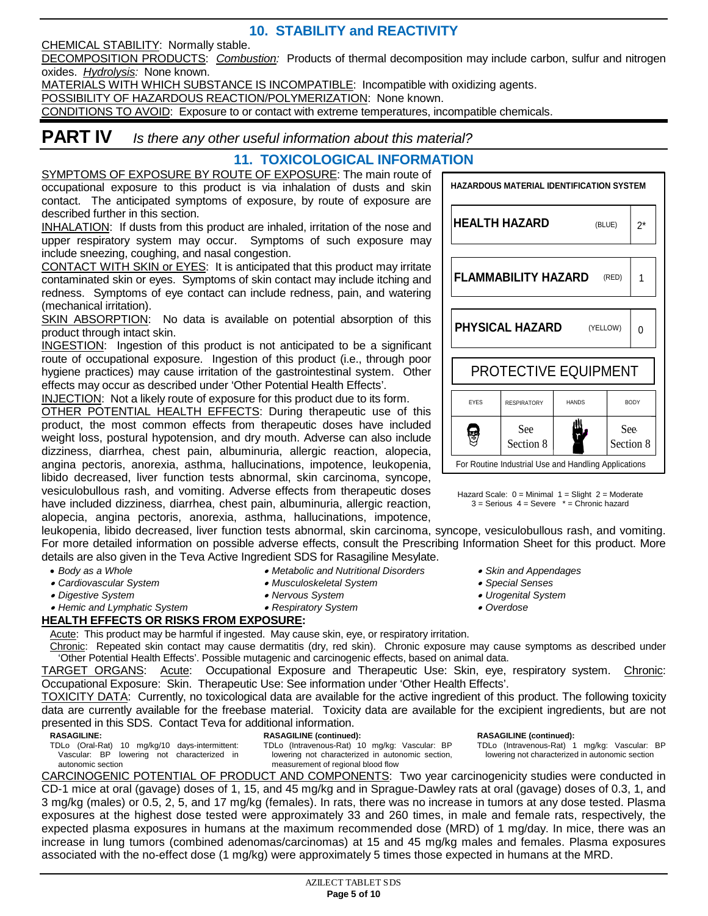**10. STABILITY and REACTIVITY**

CHEMICAL STABILITY: Normally stable.

DECOMPOSITION PRODUCTS: *Combustion:* Products of thermal decomposition may include carbon, sulfur and nitrogen oxides. *Hydrolysis:* None known.

MATERIALS WITH WHICH SUBSTANCE IS INCOMPATIBLE: Incompatible with oxidizing agents.

POSSIBILITY OF HAZARDOUS REACTION/POLYMERIZATION: None known.

CONDITIONS TO AVOID: Exposure to or contact with extreme temperatures, incompatible chemicals.

## **PART IV** *Is there any other useful information about this material?*

### **11. TOXICOLOGICAL INFORMATION**

SYMPTOMS OF EXPOSURE BY ROUTE OF EXPOSURE: The main route of occupational exposure to this product is via inhalation of dusts and skin contact. The anticipated symptoms of exposure, by route of exposure are described further in this section.

INHALATION: If dusts from this product are inhaled, irritation of the nose and upper respiratory system may occur. Symptoms of such exposure may include sneezing, coughing, and nasal congestion.

CONTACT WITH SKIN or EYES: It is anticipated that this product may irritate contaminated skin or eyes. Symptoms of skin contact may include itching and redness. Symptoms of eye contact can include redness, pain, and watering (mechanical irritation).

SKIN ABSORPTION: No data is available on potential absorption of this product through intact skin.

INGESTION: Ingestion of this product is not anticipated to be a significant route of occupational exposure. Ingestion of this product (i.e., through poor hygiene practices) may cause irritation of the gastrointestinal system. Other effects may occur as described under 'Other Potential Health Effects'.

INJECTION: Not a likely route of exposure for this product due to its form. OTHER POTENTIAL HEALTH EFFECTS: During therapeutic use of this product, the most common effects from therapeutic doses have included weight loss, postural hypotension, and dry mouth. Adverse can also include [dizziness,](http://www.rxlist.com/script/main/art.asp?articlekey=6114) [diarrhea,](http://www.rxlist.com/script/main/art.asp?articlekey=2985) [chest pain,](http://www.rxlist.com/script/main/art.asp?articlekey=19270) [albuminuria,](http://www.rxlist.com/script/main/art.asp?articlekey=6851) [allergic reaction,](http://www.rxlist.com/script/main/art.asp?articlekey=2196) [alopecia,](http://www.rxlist.com/script/main/art.asp?articlekey=2206) [angina pectoris,](http://www.rxlist.com/script/main/art.asp?articlekey=6595) [anorexia,](http://www.rxlist.com/script/main/art.asp?articlekey=2268) [asthma,](http://www.rxlist.com/script/main/art.asp?articlekey=2373) hallucinations, [impotence,](http://www.rxlist.com/script/main/art.asp?articlekey=3946) [leukopenia,](http://www.rxlist.com/script/main/art.asp?articlekey=4149) libido decreased, liver function tests abnormal, skin carcinoma, syncope, vesiculobullous rash, and vomiting. Adverse effects from therapeutic doses have included [dizziness,](http://www.rxlist.com/script/main/art.asp?articlekey=6114) [diarrhea,](http://www.rxlist.com/script/main/art.asp?articlekey=2985) [chest pain,](http://www.rxlist.com/script/main/art.asp?articlekey=19270) [albuminuria,](http://www.rxlist.com/script/main/art.asp?articlekey=6851) [allergic reaction,](http://www.rxlist.com/script/main/art.asp?articlekey=2196) [alopecia,](http://www.rxlist.com/script/main/art.asp?articlekey=2206) [angina pectoris,](http://www.rxlist.com/script/main/art.asp?articlekey=6595) [anorexia,](http://www.rxlist.com/script/main/art.asp?articlekey=2268) [asthma,](http://www.rxlist.com/script/main/art.asp?articlekey=2373) hallucinations, [impotence,](http://www.rxlist.com/script/main/art.asp?articlekey=3946)

[leukopenia,](http://www.rxlist.com/script/main/art.asp?articlekey=4149) libido decreased, liver function tests abnormal, skin carcinoma, syncope, vesiculobullous rash, and vomiting. For more detailed information on possible adverse effects, consult the Prescribing Information Sheet for this product. More details are also given in the Teva Active Ingredient SDS for Rasagiline Mesylate.

- *Body as a Whole*
- *Cardiovascular System*

• *Metabolic and Nutritional Disorders* • *Musculoskeletal System*

- *Digestive System*
- *Nervous System*
- *Hemic and Lymphatic System*
- 
- *Respiratory System*

### **HEALTH EFFECTS OR RISKS FROM EXPOSURE:**

Acute: This product may be harmful if ingested. May cause skin, eye, or respiratory irritation.

Chronic: Repeated skin contact may cause dermatitis (dry, red skin). Chronic exposure may cause symptoms as described under 'Other Potential Health Effects'. Possible mutagenic and carcinogenic effects, based on animal data.

TARGET ORGANS: Acute: Occupational Exposure and Therapeutic Use: Skin, eye, respiratory system. Chronic: Occupational Exposure: Skin. Therapeutic Use: See information under 'Other Health Effects'.

TOXICITY DATA: Currently, no toxicological data are available for the active ingredient of this product. The following toxicity data are currently available for the freebase material. Toxicity data are available for the excipient ingredients, but are not presented in this SDS. Contact Teva for additional information.

**RASAGILINE:** TDLo (Oral-Rat) 10 mg/kg/10 days-intermittent: **RASAGILINE (continued):**

Vascular: BP lowering not characterized in autonomic section

TDLo (Intravenous-Rat) 10 mg/kg: Vascular: BP lowering not characterized in autonomic section, measurement of regional blood flow

**RASAGILINE (continued):**

TDLo (Intravenous-Rat) 1 mg/kg: Vascular: BP lowering not characterized in autonomic section

CARCINOGENIC POTENTIAL OF PRODUCT AND COMPONENTS: Two year carcinogenicity studies were conducted in CD-1 mice at oral (gavage) doses of 1, 15, and 45 mg/kg and in Sprague-Dawley rats at oral (gavage) doses of 0.3, 1, and 3 mg/kg (males) or 0.5, 2, 5, and 17 mg/kg (females). In rats, there was no increase in tumors at any dose tested. Plasma exposures at the highest dose tested were approximately 33 and 260 times, in male and female rats, respectively, the expected plasma exposures in humans at the maximum recommended dose (MRD) of 1 mg/day. In mice, there was an increase in lung tumors (combined adenomas/carcinomas) at 15 and 45 mg/kg males and females. Plasma exposures associated with the no-effect dose (1 mg/kg) were approximately 5 times those expected in humans at the MRD.

**HAZARDOUS MATERIAL IDENTIFICATION SYSTEM HEALTH HAZARD** 2\*  $(RI IIF)$ **FLAMMABILITY HAZARD** (RED) 1 **PHYSICAL HAZARD** (YELLOW) 0 PROTECTIVE EQUIPMENT EYES RESPIRATORY HANDS BODY Ш g See See ٣ Section 8 Section 8 For Routine Industrial Use and Handling Applications

Hazard Scale:  $0 =$  Minimal  $1 =$  Slight  $2 =$  Moderate  $3 =$  Serious  $4 =$  Severe  $* =$  Chronic hazard

• *Skin and Appendages*

- *Special Senses*
- *Urogenital System*
- *Overdose*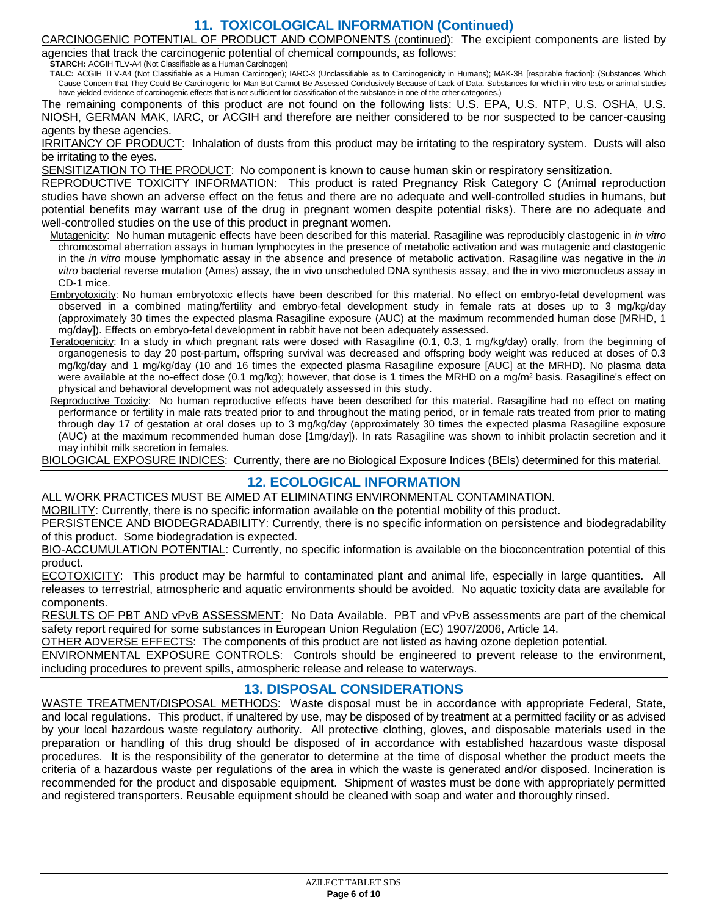### **11. TOXICOLOGICAL INFORMATION (Continued)**

CARCINOGENIC POTENTIAL OF PRODUCT AND COMPONENTS (continued): The excipient components are listed by agencies that track the carcinogenic potential of chemical compounds, as follows:

**STARCH:** ACGIH TLV-A4 (Not Classifiable as a Human Carcinogen)

**TALC:** ACGIH TLV-A4 (Not Classifiable as a Human Carcinogen); IARC-3 (Unclassifiable as to Carcinogenicity in Humans); MAK-3B [respirable fraction]: (Substances Which Cause Concern that They Could Be Carcinogenic for Man But Cannot Be Assessed Conclusively Because of Lack of Data. Substances for which in vitro tests or animal studies have yielded evidence of carcinogenic effects that is not sufficient for classification of the substance in one of the other categories.)

The remaining components of this product are not found on the following lists: U.S. EPA, U.S. NTP, U.S. OSHA, U.S. NIOSH, GERMAN MAK, IARC, or ACGIH and therefore are neither considered to be nor suspected to be cancer-causing agents by these agencies.

IRRITANCY OF PRODUCT: Inhalation of dusts from this product may be irritating to the respiratory system. Dusts will also be irritating to the eyes.

SENSITIZATION TO THE PRODUCT: No component is known to cause human skin or respiratory sensitization.

REPRODUCTIVE TOXICITY INFORMATION: This product is rated Pregnancy Risk Category C (Animal reproduction studies have shown an adverse effect on the fetus and there are no adequate and well-controlled studies in humans, but potential benefits may warrant use of the drug in pregnant women despite potential risks). There are no adequate and well-controlled studies on the use of this product in pregnant women.

Mutagenicity: No human mutagenic effects have been described for this material. Rasagiline was reproducibly clastogenic in *in vitro*  chromosomal aberration assays in human lymphocytes in the presence of metabolic activation and was mutagenic and clastogenic in the *in vitro* mouse lymphomatic assay in the absence and presence of metabolic activation. Rasagiline was negative in the *in vitro* bacterial reverse mutation (Ames) assay, the in vivo unscheduled DNA synthesis assay, and the in vivo micronucleus assay in CD-1 mice.

- Embryotoxicity: No human embryotoxic effects have been described for this material. No effect on embryo-fetal development was observed in a combined mating/fertility and embryo-fetal development study in female rats at doses up to 3 mg/kg/day (approximately 30 times the expected plasma Rasagiline exposure (AUC) at the maximum recommended human dose [MRHD, 1 mg/day]). Effects on embryo-fetal development in rabbit have not been adequately assessed.
- Teratogenicity: In a study in which pregnant rats were dosed with Rasagiline (0.1, 0.3, 1 mg/kg/day) orally, from the beginning of organogenesis to day 20 post-partum, offspring survival was decreased and offspring body weight was reduced at doses of 0.3 mg/kg/day and 1 mg/kg/day (10 and 16 times the expected plasma Rasagiline exposure [AUC] at the MRHD). No plasma data were available at the no-effect dose (0.1 mg/kg); however, that dose is 1 times the MRHD on a mg/m<sup>2</sup> basis. Rasagiline's effect on physical and behavioral development was not adequately assessed in this study.
- Reproductive Toxicity: No human reproductive effects have been described for this material. Rasagiline had no effect on mating performance or fertility in male rats treated prior to and throughout the mating period, or in female rats treated from prior to mating through day 17 of gestation at oral doses up to 3 mg/kg/day (approximately 30 times the expected plasma Rasagiline exposure (AUC) at the maximum recommended human dose [1mg/day]). In rats Rasagiline was shown to inhibit prolactin secretion and it may inhibit milk secretion in females.

BIOLOGICAL EXPOSURE INDICES: Currently, there are no Biological Exposure Indices (BEIs) determined for this material.

### **12. ECOLOGICAL INFORMATION**

ALL WORK PRACTICES MUST BE AIMED AT ELIMINATING ENVIRONMENTAL CONTAMINATION.

MOBILITY: Currently, there is no specific information available on the potential mobility of this product.

PERSISTENCE AND BIODEGRADABILITY: Currently, there is no specific information on persistence and biodegradability of this product. Some biodegradation is expected.

BIO-ACCUMULATION POTENTIAL: Currently, no specific information is available on the bioconcentration potential of this product.

ECOTOXICITY: This product may be harmful to contaminated plant and animal life, especially in large quantities. All releases to terrestrial, atmospheric and aquatic environments should be avoided. No aquatic toxicity data are available for components.

RESULTS OF PBT AND vPvB ASSESSMENT: No Data Available. PBT and vPvB assessments are part of the chemical safety report required for some substances in European Union Regulation (EC) 1907/2006, Article 14.

OTHER ADVERSE EFFECTS: The components of this product are not listed as having ozone depletion potential.

ENVIRONMENTAL EXPOSURE CONTROLS: Controls should be engineered to prevent release to the environment, including procedures to prevent spills, atmospheric release and release to waterways.

### **13. DISPOSAL CONSIDERATIONS**

WASTE TREATMENT/DISPOSAL METHODS: Waste disposal must be in accordance with appropriate Federal, State, and local regulations. This product, if unaltered by use, may be disposed of by treatment at a permitted facility or as advised by your local hazardous waste regulatory authority. All protective clothing, gloves, and disposable materials used in the preparation or handling of this drug should be disposed of in accordance with established hazardous waste disposal procedures. It is the responsibility of the generator to determine at the time of disposal whether the product meets the criteria of a hazardous waste per regulations of the area in which the waste is generated and/or disposed. Incineration is recommended for the product and disposable equipment. Shipment of wastes must be done with appropriately permitted and registered transporters. Reusable equipment should be cleaned with soap and water and thoroughly rinsed.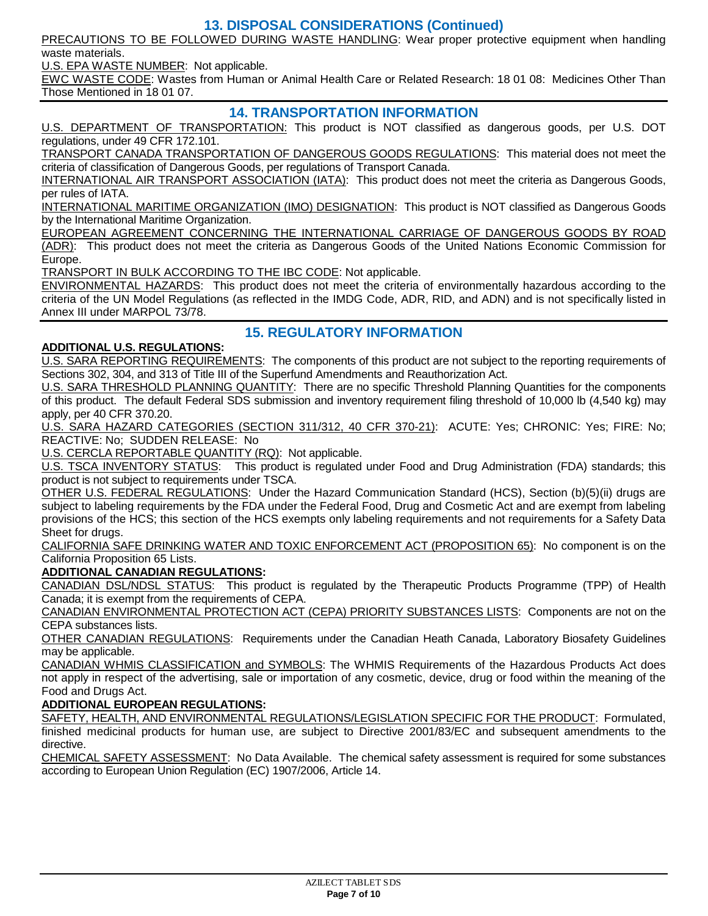### **13. DISPOSAL CONSIDERATIONS (Continued)**

PRECAUTIONS TO BE FOLLOWED DURING WASTE HANDLING: Wear proper protective equipment when handling waste materials.

U.S. EPA WASTE NUMBER: Not applicable.

EWC WASTE CODE: Wastes from Human or Animal Health Care or Related Research: 18 01 08: Medicines Other Than Those Mentioned in 18 01 07.

### **14. TRANSPORTATION INFORMATION**

U.S. DEPARTMENT OF TRANSPORTATION: This product is NOT classified as dangerous goods, per U.S. DOT regulations, under 49 CFR 172.101.

TRANSPORT CANADA TRANSPORTATION OF DANGEROUS GOODS REGULATIONS: This material does not meet the criteria of classification of Dangerous Goods, per regulations of Transport Canada.

INTERNATIONAL AIR TRANSPORT ASSOCIATION (IATA): This product does not meet the criteria as Dangerous Goods, per rules of IATA.

INTERNATIONAL MARITIME ORGANIZATION (IMO) DESIGNATION: This product is NOT classified as Dangerous Goods by the International Maritime Organization.

EUROPEAN AGREEMENT CONCERNING THE INTERNATIONAL CARRIAGE OF DANGEROUS GOODS BY ROAD (ADR): This product does not meet the criteria as Dangerous Goods of the United Nations Economic Commission for Europe.

TRANSPORT IN BULK ACCORDING TO THE IBC CODE: Not applicable.

ENVIRONMENTAL HAZARDS: This product does not meet the criteria of environmentally hazardous according to the criteria of the UN Model Regulations (as reflected in the IMDG Code, ADR, RID, and ADN) and is not specifically listed in Annex III under MARPOL 73/78.

### **15. REGULATORY INFORMATION**

#### **ADDITIONAL U.S. REGULATIONS:**

U.S. SARA REPORTING REQUIREMENTS: The components of this product are not subject to the reporting requirements of Sections 302, 304, and 313 of Title III of the Superfund Amendments and Reauthorization Act.

U.S. SARA THRESHOLD PLANNING QUANTITY: There are no specific Threshold Planning Quantities for the components of this product. The default Federal SDS submission and inventory requirement filing threshold of 10,000 lb (4,540 kg) may apply, per 40 CFR 370.20.

U.S. SARA HAZARD CATEGORIES (SECTION 311/312, 40 CFR 370-21): ACUTE: Yes; CHRONIC: Yes; FIRE: No; REACTIVE: No; SUDDEN RELEASE: No

U.S. CERCLA REPORTABLE QUANTITY (RQ): Not applicable.<br>U.S. TSCA INVENTORY STATUS: This product is regulated

This product is regulated under Food and Drug Administration (FDA) standards; this product is not subject to requirements under TSCA.

OTHER U.S. FEDERAL REGULATIONS: Under the Hazard Communication Standard (HCS), Section (b)(5)(ii) drugs are subject to labeling requirements by the FDA under the Federal Food, Drug and Cosmetic Act and are exempt from labeling provisions of the HCS; this section of the HCS exempts only labeling requirements and not requirements for a Safety Data Sheet for drugs.

CALIFORNIA SAFE DRINKING WATER AND TOXIC ENFORCEMENT ACT (PROPOSITION 65): No component is on the California Proposition 65 Lists.

#### **ADDITIONAL CANADIAN REGULATIONS:**

CANADIAN DSL/NDSL STATUS: This product is regulated by the Therapeutic Products Programme (TPP) of Health Canada; it is exempt from the requirements of CEPA.

CANADIAN ENVIRONMENTAL PROTECTION ACT (CEPA) PRIORITY SUBSTANCES LISTS: Components are not on the CEPA substances lists.

OTHER CANADIAN REGULATIONS: Requirements under the Canadian Heath Canada, Laboratory Biosafety Guidelines may be applicable.

CANADIAN WHMIS CLASSIFICATION and SYMBOLS: The WHMIS Requirements of the Hazardous Products Act does not apply in respect of the advertising, sale or importation of any cosmetic, device, drug or food within the meaning of the Food and Drugs Act.

#### **ADDITIONAL EUROPEAN REGULATIONS:**

SAFETY, HEALTH, AND ENVIRONMENTAL REGULATIONS/LEGISLATION SPECIFIC FOR THE PRODUCT: Formulated, finished medicinal products for human use, are subject to Directive 2001/83/EC and subsequent amendments to the directive.

CHEMICAL SAFETY ASSESSMENT: No Data Available. The chemical safety assessment is required for some substances according to European Union Regulation (EC) 1907/2006, Article 14.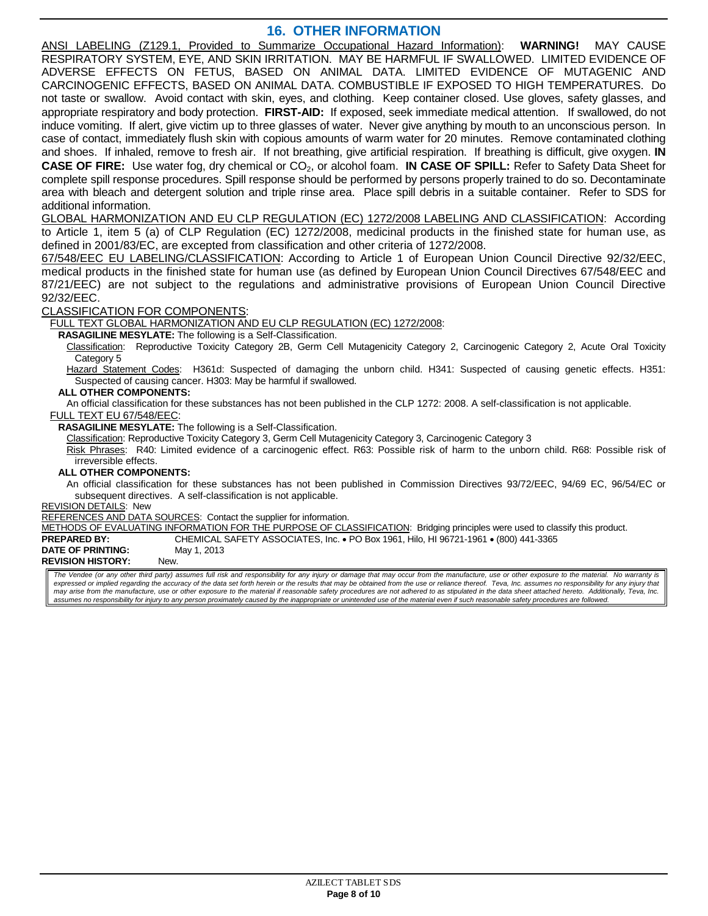### **16. OTHER INFORMATION**

ANSI LABELING (Z129.1, Provided to Summarize Occupational Hazard Information): **WARNING!** MAY CAUSE RESPIRATORY SYSTEM, EYE, AND SKIN IRRITATION. MAY BE HARMFUL IF SWALLOWED. LIMITED EVIDENCE OF ADVERSE EFFECTS ON FETUS, BASED ON ANIMAL DATA. LIMITED EVIDENCE OF MUTAGENIC AND CARCINOGENIC EFFECTS, BASED ON ANIMAL DATA. COMBUSTIBLE IF EXPOSED TO HIGH TEMPERATURES. Do not taste or swallow. Avoid contact with skin, eyes, and clothing. Keep container closed. Use gloves, safety glasses, and appropriate respiratory and body protection. **FIRST-AID:** If exposed, seek immediate medical attention. If swallowed, do not induce vomiting. If alert, give victim up to three glasses of water. Never give anything by mouth to an unconscious person. In case of contact, immediately flush skin with copious amounts of warm water for 20 minutes. Remove contaminated clothing and shoes. If inhaled, remove to fresh air. If not breathing, give artificial respiration. If breathing is difficult, give oxygen. **IN CASE OF FIRE:** Use water fog, dry chemical or CO<sub>2</sub>, or alcohol foam. **IN CASE OF SPILL:** Refer to Safety Data Sheet for complete spill response procedures. Spill response should be performed by persons properly trained to do so. Decontaminate area with bleach and detergent solution and triple rinse area. Place spill debris in a suitable container. Refer to SDS for additional information.

GLOBAL HARMONIZATION AND EU CLP REGULATION (EC) 1272/2008 LABELING AND CLASSIFICATION: According to Article 1, item 5 (a) of CLP Regulation (EC) 1272/2008, medicinal products in the finished state for human use, as defined in 2001/83/EC, are excepted from classification and other criteria of 1272/2008.

67/548/EEC EU LABELING/CLASSIFICATION: According to Article 1 of European Union Council Directive 92/32/EEC, medical products in the finished state for human use (as defined by European Union Council Directives 67/548/EEC and 87/21/EEC) are not subject to the regulations and administrative provisions of European Union Council Directive 92/32/EEC.

CLASSIFICATION FOR COMPONENTS:

FULL TEXT GLOBAL HARMONIZATION AND EU CLP REGULATION (EC) 1272/2008:

**RASAGILINE MESYLATE:** The following is a Self-Classification.

Classification: Reproductive Toxicity Category 2B, Germ Cell Mutagenicity Category 2, Carcinogenic Category 2, Acute Oral Toxicity Category 5

Hazard Statement Codes: H361d: Suspected of damaging the unborn child. H341: Suspected of causing genetic effects. H351: Suspected of causing cancer. H303: May be harmful if swallowed.

#### **ALL OTHER COMPONENTS:**

An official classification for these substances has not been published in the CLP 1272: 2008. A self-classification is not applicable.

FULL TEXT EU 67/548/EEC:

**RASAGILINE MESYLATE:** The following is a Self-Classification.

Classification: Reproductive Toxicity Category 3, Germ Cell Mutagenicity Category 3, Carcinogenic Category 3

Risk Phrases: R40: Limited evidence of a carcinogenic effect. R63: Possible risk of harm to the unborn child. R68: Possible risk of irreversible effects.

#### **ALL OTHER COMPONENTS:**

An official classification for these substances has not been published in Commission Directives 93/72/EEC, 94/69 EC, 96/54/EC or subsequent directives. A self-classification is not applicable.

REVISION DETAILS: New

REFERENCES AND DATA SOURCES: Contact the supplier for information.

METHODS OF EVALUATING INFORMATION FOR THE PURPOSE OF CLASSIFICATION: Bridging principles were used to classify this product.

**PREPARED BY:** CHEMICAL SAFETY ASSOCIATES, Inc. • PO Box 1961, Hilo, HI 96721-1961 • (800) 441-3365<br>DATE OF PRINTING: May 1, 2013 **DATE OF PRINTING:** 

**REVISION HISTORY:** New.

The Vendee (or any other third party) assumes full risk and responsibility for any injury or damage that may occur from the manufacture, use or other exposure to the material. No warranty is<br>expressed or implied regarding *may arise from the manufacture, use or other exposure to the material if reasonable safety procedures are not adhered to as stipulated in the data sheet attached hereto. Additionally, Teva, Inc. assumes no responsibility for injury to any person proximately caused by the inappropriate or unintended use of the material even if such reasonable safety procedures are followed.*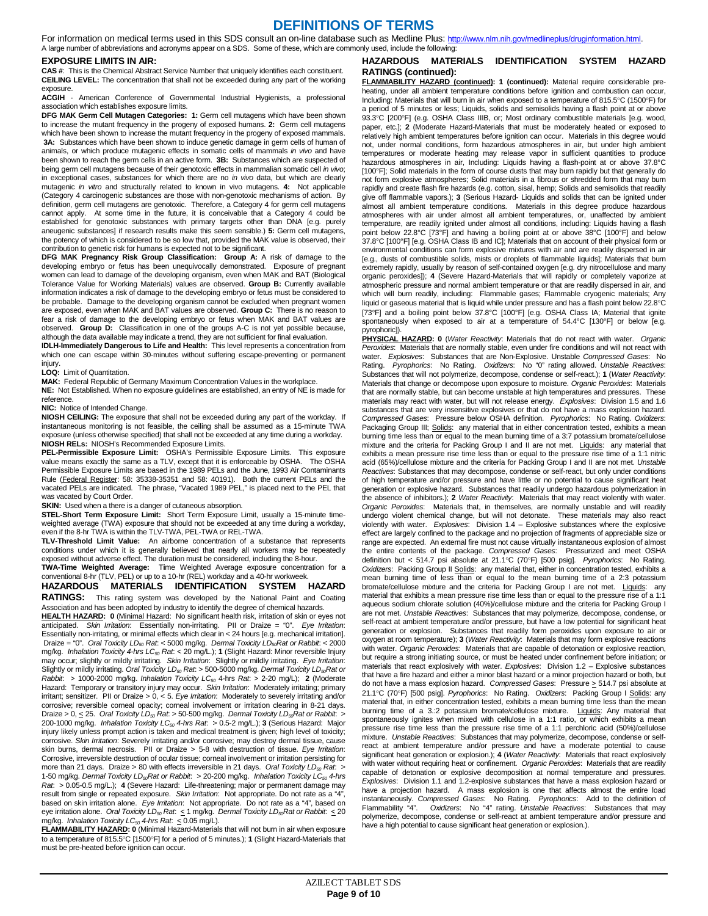### **DEFINITIONS OF TERMS**

For information on medical terms used in this SDS consult an on-line database such as Medline Plus: http://www.nlm.nih.gov/medlineplus/druginformation.html. A large number of abbreviations and acronyms appear on a SDS. Some of these, which are commonly used, include the following:

#### **EXPOSURE LIMITS IN AIR:**

**CAS #**: This is the Chemical Abstract Service Number that uniquely identifies each constituent. **CEILING LEVEL:** The concentration that shall not be exceeded during any part of the working exposure.

#### **ACGIH** - American Conference of Governmental Industrial Hygienists, a professional association which establishes exposure limits.

**DFG MAK Germ Cell Mutagen Categories: 1:** Germ cell mutagens which have been shown to increase the mutant frequency in the progeny of exposed humans. **2:** Germ cell mutagens which have been shown to increase the mutant frequency in the progeny of exposed mammals. **3A:** Substances which have been shown to induce genetic damage in germ cells of human of animals, or which produce mutagenic effects in somatic cells of mammals *in vivo* and have been shown to reach the germ cells in an active form. **3B:** Substances which are suspected of being germ cell mutagens because of their genotoxic effects in mammalian somatic cell *in vivo*; in exceptional cases, substances for which there are no *in vivo* data, but which are clearly mutagenic *in vitro* and structurally related to known in vivo mutagens. **4:** Not applicable (Category 4 carcinogenic substances are those with non-genotoxic mechanisms of action. By definition, germ cell mutagens are genotoxic. Therefore, a Category 4 for germ cell mutagens cannot apply. At some time in the future, it is conceivable that a Category 4 could be established for genotoxic substances with primary targets other than DNA [e.g. purely aneugenic substances] if research results make this seem sensible.) **5:** Germ cell mutagens, the potency of which is considered to be so low that, provided the MAK value is observed, their contribution to genetic risk for humans is expected not to be significant.

**DFG MAK Pregnancy Risk Group Classification: Group A:** A risk of damage to the developing embryo or fetus has been unequivocally demonstrated. Exposure of pregnant women can lead to damage of the developing organism, even when MAK and BAT (Biological Tolerance Value for Working Materials) values are observed. **Group B:** Currently available information indicates a risk of damage to the developing embryo or fetus must be considered to be probable. Damage to the developing organism cannot be excluded when pregnant women are exposed, even when MAK and BAT values are observed. **Group C:** There is no reason to fear a risk of damage to the developing embryo or fetus when MAK and BAT values are observed. **Group D:** Classification in one of the groups A-C is not yet possible because,

although the data available may indicate a trend, they are not sufficient for final evaluation. **IDLH-Immediately Dangerous to Life and Health:** This level represents a concentration from which one can escape within 30-minutes without suffering escape-preventing or permanent injury.

#### **LOQ:** Limit of Quantitation.

**MAK:** Federal Republic of Germany Maximum Concentration Values in the workplace.

**NE:** Not Established. When no exposure guidelines are established, an entry of NE is made for reference.

#### **NIC:** Notice of Intended Change.

**NIOSH CEILING:** The exposure that shall not be exceeded during any part of the workday. If instantaneous monitoring is not feasible, the ceiling shall be assumed as a 15-minute TWA exposure (unless otherwise specified) that shall not be exceeded at any time during a workday. **NIOSH RELs:** NIOSH's Recommended Exposure Limits.

**PEL-Permissible Exposure Limit:** OSHA's Permissible Exposure Limits. This exposure value means exactly the same as a TLV, except that it is enforceable by OSHA. The OSHA Permissible Exposure Limits are based in the 1989 PELs and the June, 1993 Air Contaminants Rule (Federal Register: 58: 35338-35351 and 58: 40191). Both the current PELs and the vacated PELs are indicated. The phrase, "Vacated 1989 PEL," is placed next to the PEL that was vacated by Court Order.

#### **SKIN:** Used when a there is a danger of cutaneous absorption.

**STEL-Short Term Exposure Limit:** Short Term Exposure Limit, usually a 15-minute timeweighted average (TWA) exposure that should not be exceeded at any time during a workday, even if the 8-hr TWA is within the TLV-TWA, PEL-TWA or REL-TWA.

**TLV-Threshold Limit Value:** An airborne concentration of a substance that represents conditions under which it is generally believed that nearly all workers may be repeatedly exposed without adverse effect. The duration must be considered, including the 8-hour.

**TWA-Time Weighted Average:** T**i**me Weighted Average exposure concentration for a conventional 8-hr (TLV, PEL) or up to a 10-hr (REL) workday and a 40-hr workweek.

**HAZARDOUS MATERIALS IDENTIFICATION SYSTEM HAZARD RATINGS:** This rating system was developed by the National Paint and Coating

Association and has been adopted by industry to identify the degree of chemical hazards. **HEALTH HAZARD: 0** (Minimal Hazard: No significant health risk, irritation of skin or eyes not anticipated. *Skin Irritation*: Essentially non-irritating. PII or Draize = "0". *Eye Irritation*: Essentially non-irritating, or minimal effects which clear in < 24 hours [e.g. mechanical irritation]. Draize = "0". *Oral Toxicity LD50 Rat*: < 5000 mg/kg. *Dermal Toxicity LD50Rat or Rabbit*: < 2000 mg/kg. *Inhalation Toxicity 4-hrs LC50 Rat*: < 20 mg/L.); **1** (Slight Hazard: Minor reversible Injury may occur; slightly or mildly irritating. *Skin Irritation*: Slightly or mildly irritating. *Eye Irritation:*<br>Slightly or mildly irritating. Oral Toxicity LD<sub>so</sub> Rat. > 500-5000 mg/kg. Dermal Toxicity LD<sub>so</sub>Rat or<br>*Rabbit* Hazard: Temporary or transitory injury may occur. Skin Irritation: Moderately irritating; primary irritant; sensitizer. PII or Draize > 0, < 5. *Eye Irritation*: Moderately to severely irritating and/or corrosive; reversible corneal opacity; corneal involvement or irritation clearing in 8-21 days. Draize > 0, < 25. *Oral Toxicity LD<sub>50</sub> Rat*: > 50-500 mg/kg. *Dermal Toxicity LD<sub>50</sub> Rat or Rabbit.* > 200-1000 mg/kg. *Inhalation Toxicity LC<sub>50</sub>* 4-hrs Rat. > 0.5-2 mg/L.); 3 (Serious Hazard: Major injury likely unless prompt action is taken and medical treatment is given; high level of toxicity; corrosive. *Skin Irritation*: Severely irritating and/or corrosive; may destroy dermal tissue, cause skin burns, dermal necrosis. PII or Draize > 5-8 with destruction of tissue. *Eye Irritation*: Corrosive, irreversible destruction of ocular tissue; corneal involvement or irritation persisting for more than 21 days. Draize > 80 with effects irreversible in 21 days. *Oral Toxicity LD<sub>so</sub> Rat. >*<br>1-50 mg/kg. *Dermal Toxicity LD<sub>so</sub>Rat or Rabbit. >* 20-200 mg/kg. *Inhalation Toxicity LC<sub>so</sub> 4-hr*s *Rat*: > 0.05-0.5 mg/L.); **4** (Severe Hazard: Life-threatening; major or permanent damage may result from single or repeated exposure. *Skin Irritation*: Not appropriate. Do not rate as a "4", based on skin irritation alone. *Eye Irritation*: Not appropriate. Do not rate as a "4", based on eye irritation alone. *Oral Toxicity LD50 Rat*: < 1 mg/kg. *Dermal Toxicity LD50Rat or Rabbit*: < 20 mg/kg. *Inhalation Toxicity LC50 4-hrs Rat*: < 0.05 mg/L).

**FLAMMABILITY HAZARD: 0** (Minimal Hazard-Materials that will not burn in air when exposure to a temperature of 815.5°C [1500°F] for a period of 5 minutes.); **1** (Slight Hazard-Materials that must be pre-heated before ignition can occur.

#### **HAZARDOUS MATERIALS IDENTIFICATION SYSTEM HAZARD RATINGS (continued):**

**FLAMMABILITY HAZARD (continued): 1 (continued):** Material require considerable preheating, under all ambient temperature conditions before ignition and combustion can occur, Including: Materials that will burn in air when exposed to a temperature of 815.5°C (1500°F) for a period of 5 minutes or less; Liquids, solids and semisolids having a flash point at or above 93.3°C [200°F] (e.g. OSHA Class IIIB, or; Most ordinary combustible materials [e.g. wood, paper, etc.]; **2** (Moderate Hazard-Materials that must be moderately heated or exposed to relatively high ambient temperatures before ignition can occur. Materials in this degree would not, under normal conditions, form hazardous atmospheres in air, but under high ambient temperatures or moderate heating may release vapor in sufficient quantities to produce hazardous atmospheres in air, Including: Liquids having a flash-point at or above 37.8°C [100°F]; Solid materials in the form of course dusts that may burn rapidly but that generally do not form explosive atmospheres; Solid materials in a fibrous or shredded form that may burn rapidly and create flash fire hazards (e.g. cotton, sisal, hemp; Solids and semisolids that readily give off flammable vapors.); **3** (Serious Hazard- Liquids and solids that can be ignited under almost all ambient temperature conditions. Materials in this degree produce hazardous atmospheres with air under almost all ambient temperatures, or, unaffected by ambient temperature, are readily ignited under almost all conditions, including: Liquids having a flash point below 22.8°C [73°F] and having a boiling point at or above 38°C [100°F] and below 37.8°C [100°F] [e.g. OSHA Class IB and IC]; Materials that on account of their physical form or environmental conditions can form explosive mixtures with air and are readily dispersed in air [e.g., dusts of combustible solids, mists or droplets of flammable liquids]; Materials that burn extremely rapidly, usually by reason of self-contained oxygen [e.g. dry nitrocellulose and many organic peroxides]); **4** (Severe Hazard-Materials that will rapidly or completely vaporize at atmospheric pressure and normal ambient temperature or that are readily dispersed in air, and which will burn readily, including: Flammable gases; Flammable cryogenic materials; Any liquid or gaseous material that is liquid while under pressure and has a flash point below 22.8°C [73°F] and a boiling point below 37.8°C [100°F] [e.g. OSHA Class IA; Material that ignite spontaneously when exposed to air at a temperature of 54.4°C [130°F] or below [e.g. pyrophoric]).

**PHYSICAL HAZARD: 0** (*Water Reactivity*: Materials that do not react with water. *Organic Peroxides*: Materials that are normally stable, even under fire conditions and will not react with water. *Explosives*: Substances that are Non-Explosive. Unstable *Compressed Gases*: No Rating. *Pyrophorics*: No Rating. *Oxidizers*: No "0" rating allowed. *Unstable Reactives*: Substances that will not polymerize, decompose, condense or self-react.); **1** (*Water Reactivity*: Materials that change or decompose upon exposure to moisture. *Organic Peroxides*: Materials that are normally stable, but can become unstable at high temperatures and pressures. These materials may react with water, but will not release energy. *Explosives*: Division 1.5 and 1.6 substances that are very insensitive explosives or that do not have a mass explosion hazard. *Compressed Gases*: Pressure below OSHA definition. *Pyrophorics*: No Rating. *Oxidizers*: Packaging Group III; Solids: any material that in either concentration tested, exhibits a mean burning time less than or equal to the mean burning time of a 3:7 potassium bromate/cellulose mixture and the criteria for Packing Group I and II are not met. Liquids: any material that exhibits a mean pressure rise time less than or equal to the pressure rise time of a 1:1 nitric acid (65%)/cellulose mixture and the criteria for Packing Group I and II are not met. *Unstable Reactives*: Substances that may decompose, condense or self-react, but only under conditions of high temperature and/or pressure and have little or no potential to cause significant heat generation or explosive hazard. Substances that readily undergo hazardous polymerization in the absence of inhibitors.); **2** *Water Reactivity*: Materials that may react violently with water. *Organic Peroxides*: Materials that, in themselves, are normally unstable and will readily undergo violent chemical change, but will not detonate. These materials may also react violently with water. *Explosives*: Division 1.4 – Explosive substances where the explosive effect are largely confined to the package and no projection of fragments of appreciable size or range are expected. An external fire must not cause virtually instantaneous explosion of almost the entire contents of the package. *Compressed Gases*: Pressurized and meet OSHA definition but < 514.7 psi absolute at 21.1°C (70°F) [500 psig]. *Pyrophorics*: No Rating. *Oxidizers*: Packing Group II Solids: any material that, either in concentration tested, exhibits a mean burning time of less than or equal to the mean burning time of a 2:3 potassium bromate/cellulose mixture and the criteria for Packing Group I are not met. Liquids: any material that exhibits a mean pressure rise time less than or equal to the pressure rise of a 1:1 aqueous sodium chlorate solution (40%)/cellulose mixture and the criteria for Packing Group I are not met. *Unstable Reactives*: Substances that may polymerize, decompose, condense, or self-react at ambient temperature and/or pressure, but have a low potential for significant heat generation or explosion. Substances that readily form peroxides upon exposure to air or oxygen at room temperature); **3** (*Water Reactivity*: Materials that may form explosive reactions with water. *Organic Peroxides*: Materials that are capable of detonation or explosive reaction, but require a strong initiating source, or must be heated under confinement before initiation; or materials that react explosively with water. *Explosives*: Division 1.2 – Explosive substances that have a fire hazard and either a minor blast hazard or a minor projection hazard or both, but do not have a mass explosion hazard. *Compressed Gases*: Pressure > 514.7 psi absolute at 21.1°C (70°F) [500 psig]. *Pyrophorics*: No Rating. *Oxidizers*: Packing Group I Solids: any material that, in either concentration tested, exhibits a mean burning time less than the mean burning time of a 3.:2 potassium bromate/cellulose mixture. Liquids: Any material that spontaneously ignites when mixed with cellulose in a 1:1 ratio, or which exhibits a mean pressure rise time less than the pressure rise time of a 1:1 perchloric acid (50%)/cellulose mixture. *Unstable Reactives*: Substances that may polymerize, decompose, condense or selfreact at ambient temperature and/or pressure and have a moderate potential to cause significant heat generation or explosion.); **4** (*Water Reactivity*: Materials that react explosively with water without requiring heat or confinement. *Organic Peroxides*: Materials that are readily capable of detonation or explosive decomposition at normal temperature and pressures. *Explosives*: Division 1.1 and 1.2-explosive substances that have a mass explosion hazard or have a projection hazard. A mass explosion is one that affects almost the entire load instantaneously. *Compressed Gases*: No Rating. *Pyrophorics*: Add to the definition of Flammability "4". *Oxidizers*: No "4" rating. *Unstable Reactives*: Substances that may polymerize, decompose, condense or self-react at ambient temperature and/or pressure and have a high potential to cause significant heat generation or explosion.).